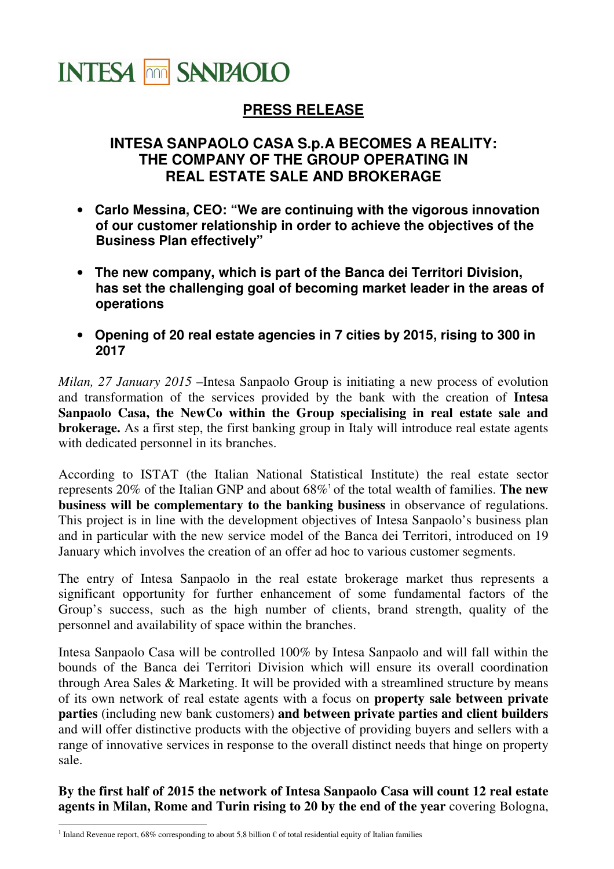

## **PRESS RELEASE**

## **INTESA SANPAOLO CASA S.p.A BECOMES A REALITY: THE COMPANY OF THE GROUP OPERATING IN REAL ESTATE SALE AND BROKERAGE**

- **Carlo Messina, CEO: "We are continuing with the vigorous innovation of our customer relationship in order to achieve the objectives of the Business Plan effectively"**
- **The new company, which is part of the Banca dei Territori Division, has set the challenging goal of becoming market leader in the areas of operations**
- **Opening of 20 real estate agencies in 7 cities by 2015, rising to 300 in 2017**

*Milan, 27 January 2015* –Intesa Sanpaolo Group is initiating a new process of evolution and transformation of the services provided by the bank with the creation of **Intesa Sanpaolo Casa, the NewCo within the Group specialising in real estate sale and brokerage.** As a first step, the first banking group in Italy will introduce real estate agents with dedicated personnel in its branches.

According to ISTAT (the Italian National Statistical Institute) the real estate sector represents 20% of the Italian GNP and about 68%<sup>1</sup>of the total wealth of families. **The new business will be complementary to the banking business** in observance of regulations. This project is in line with the development objectives of Intesa Sanpaolo's business plan and in particular with the new service model of the Banca dei Territori, introduced on 19 January which involves the creation of an offer ad hoc to various customer segments.

The entry of Intesa Sanpaolo in the real estate brokerage market thus represents a significant opportunity for further enhancement of some fundamental factors of the Group's success, such as the high number of clients, brand strength, quality of the personnel and availability of space within the branches.

Intesa Sanpaolo Casa will be controlled 100% by Intesa Sanpaolo and will fall within the bounds of the Banca dei Territori Division which will ensure its overall coordination through Area Sales & Marketing. It will be provided with a streamlined structure by means of its own network of real estate agents with a focus on **property sale between private parties** (including new bank customers) **and between private parties and client builders** and will offer distinctive products with the objective of providing buyers and sellers with a range of innovative services in response to the overall distinct needs that hinge on property sale.

**By the first half of 2015 the network of Intesa Sanpaolo Casa will count 12 real estate agents in Milan, Rome and Turin rising to 20 by the end of the year** covering Bologna,

 $\overline{a}$ <sup>1</sup> Inland Revenue report, 68% corresponding to about 5,8 billion € of total residential equity of Italian families